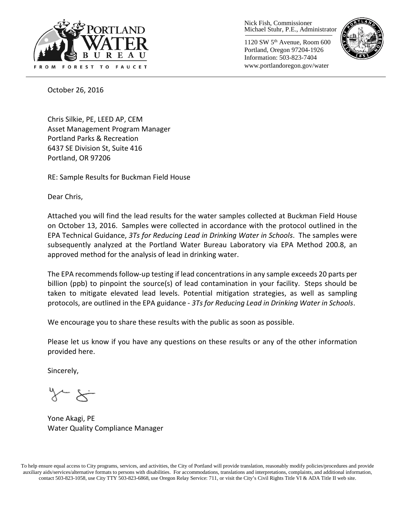

Nick Fish, Commissioner Michael Stuhr, P.E., Administrator

1120 SW 5th Avenue, Room 600 Portland, Oregon 97204-1926 Information: 503-823-7404 www.portlandoregon.gov/water



October 26, 2016

Chris Silkie, PE, LEED AP, CEM Asset Management Program Manager Portland Parks & Recreation 6437 SE Division St, Suite 416 Portland, OR 97206

RE: Sample Results for Buckman Field House

Dear Chris,

Attached you will find the lead results for the water samples collected at Buckman Field House on October 13, 2016. Samples were collected in accordance with the protocol outlined in the EPA Technical Guidance, *3Ts for Reducing Lead in Drinking Water in Schools*. The samples were subsequently analyzed at the Portland Water Bureau Laboratory via EPA Method 200.8, an approved method for the analysis of lead in drinking water.

The EPA recommends follow-up testing if lead concentrations in any sample exceeds 20 parts per billion (ppb) to pinpoint the source(s) of lead contamination in your facility. Steps should be taken to mitigate elevated lead levels. Potential mitigation strategies, as well as sampling protocols, are outlined in the EPA guidance - *3Ts for Reducing Lead in Drinking Water in Schools*.

We encourage you to share these results with the public as soon as possible.

Please let us know if you have any questions on these results or any of the other information provided here.

Sincerely,

Yone Akagi, PE Water Quality Compliance Manager

To help ensure equal access to City programs, services, and activities, the City of Portland will provide translation, reasonably modify policies/procedures and provide auxiliary aids/services/alternative formats to persons with disabilities. For accommodations, translations and interpretations, complaints, and additional information, contact 503-823-1058, use City TTY 503-823-6868, use Oregon Relay Service: 711, or visi[t the City's Civil Rights Title VI & ADA Title II web site.](http://www.portlandoregon.gov/oehr/66458)